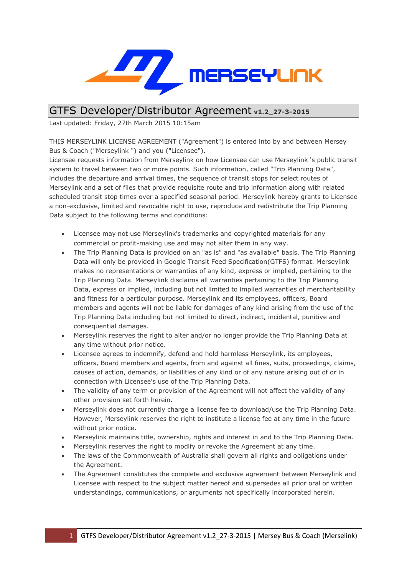

## GTFS Developer/Distributor Agreement **v1.2\_27-3-2015**

Last updated: Friday, 27th March 2015 10:15am

THIS MERSEYLINK LICENSE AGREEMENT ("Agreement") is entered into by and between Mersey Bus & Coach ("Merseylink ") and you ("Licensee").

Licensee requests information from Merseylink on how Licensee can use Merseylink "s public transit system to travel between two or more points. Such information, called "Trip Planning Data", includes the departure and arrival times, the sequence of transit stops for select routes of Merseylink and a set of files that provide requisite route and trip information along with related scheduled transit stop times over a specified seasonal period. Merseylink hereby grants to Licensee a non-exclusive, limited and revocable right to use, reproduce and redistribute the Trip Planning Data subject to the following terms and conditions:

- Licensee may not use Merseylink's trademarks and copyrighted materials for any commercial or profit-making use and may not alter them in any way.
- The Trip Planning Data is provided on an "as is" and "as available" basis. The Trip Planning Data will only be provided in Google Transit Feed Specification(GTFS) format. Merseylink makes no representations or warranties of any kind, express or implied, pertaining to the Trip Planning Data. Merseylink disclaims all warranties pertaining to the Trip Planning Data, express or implied, including but not limited to implied warranties of merchantability and fitness for a particular purpose. Merseylink and its employees, officers, Board members and agents will not be liable for damages of any kind arising from the use of the Trip Planning Data including but not limited to direct, indirect, incidental, punitive and consequential damages.
- Merseylink reserves the right to alter and/or no longer provide the Trip Planning Data at any time without prior notice.
- Licensee agrees to indemnify, defend and hold harmless Merseylink, its employees, officers, Board members and agents, from and against all fines, suits, proceedings, claims, causes of action, demands, or liabilities of any kind or of any nature arising out of or in connection with Licensee's use of the Trip Planning Data.
- The validity of any term or provision of the Agreement will not affect the validity of any other provision set forth herein.
- Merseylink does not currently charge a license fee to download/use the Trip Planning Data. However, Merseylink reserves the right to institute a license fee at any time in the future without prior notice.
- Merseylink maintains title, ownership, rights and interest in and to the Trip Planning Data.
- Merseylink reserves the right to modify or revoke the Agreement at any time.
- The laws of the Commonwealth of Australia shall govern all rights and obligations under the Agreement.
- The Agreement constitutes the complete and exclusive agreement between Merseylink and Licensee with respect to the subject matter hereof and supersedes all prior oral or written understandings, communications, or arguments not specifically incorporated herein.